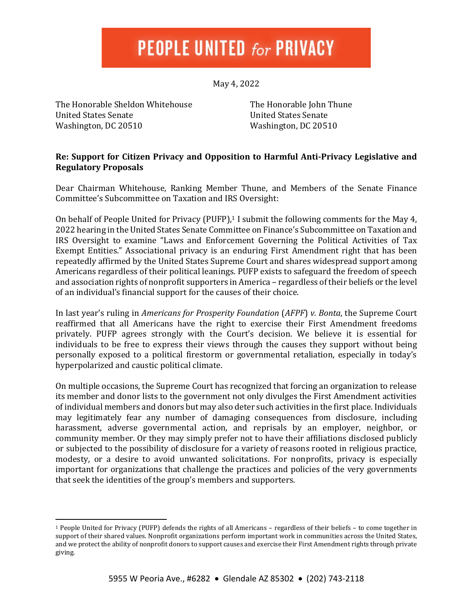## **PEOPLE UNITED for PRIVACY**

May 4, 2022

The Honorable Sheldon Whitehouse United States Senate Washington, DC 20510

The Honorable John Thune United States Senate Washington, DC 20510

## **Re: Support for Citizen Privacy and Opposition to Harmful Anti-Privacy Legislative and Regulatory Proposals**

Dear Chairman Whitehouse, Ranking Member Thune, and Members of the Senate Finance Committee's Subcommittee on Taxation and IRS Oversight:

On behalf of People United for Privacy (PUFP), <sup>1</sup> I submit the following comments for the May 4, 2022 hearing in the United States Senate Committee on Finance's Subcommittee on Taxation and IRS Oversight to examine "Laws and Enforcement Governing the Political Activities of Tax Exempt Entities." Associational privacy is an enduring First Amendment right that has been repeatedly affirmed by the United States Supreme Court and shares widespread support among Americans regardless of their political leanings. PUFP exists to safeguard the freedom of speech and association rights of nonprofit supporters in America – regardless of their beliefs or the level of an individual's financial support for the causes of their choice.

In last year's ruling in *Americans for Prosperity Foundation* (*AFPF*) *v. Bonta*, the Supreme Court reaffirmed that all Americans have the right to exercise their First Amendment freedoms privately. PUFP agrees strongly with the Court's decision. We believe it is essential for individuals to be free to express their views through the causes they support without being personally exposed to a political firestorm or governmental retaliation, especially in today's hyperpolarized and caustic political climate.

On multiple occasions, the Supreme Court has recognized that forcing an organization to release its member and donor lists to the government not only divulges the First Amendment activities of individual members and donors but may also deter such activities in the first place. Individuals may legitimately fear any number of damaging consequences from disclosure, including harassment, adverse governmental action, and reprisals by an employer, neighbor, or community member. Or they may simply prefer not to have their affiliations disclosed publicly or subjected to the possibility of disclosure for a variety of reasons rooted in religious practice, modesty, or a desire to avoid unwanted solicitations. For nonprofits, privacy is especially important for organizations that challenge the practices and policies of the very governments that seek the identities of the group's members and supporters.

<sup>1</sup> People United for Privacy (PUFP) defends the rights of all Americans – regardless of their beliefs – to come together in support of their shared values. Nonprofit organizations perform important work in communities across the United States, and we protect the ability of nonprofit donors to support causes and exercise their First Amendment rights through private giving.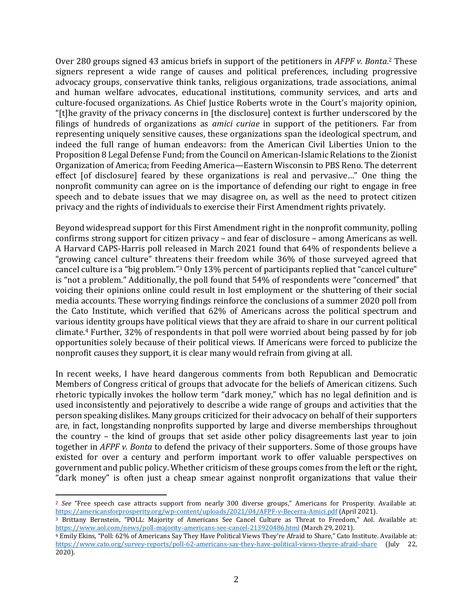Over 280 groups signed 43 amicus briefs in support of the petitioners in *AFPF v. Bonta*. <sup>2</sup> These signers represent a wide range of causes and political preferences, including progressive advocacy groups, conservative think tanks, religious organizations, trade associations, animal and human welfare advocates, educational institutions, community services, and arts and culture-focused organizations. As Chief Justice Roberts wrote in the Court's majority opinion, "[t]he gravity of the privacy concerns in [the disclosure] context is further underscored by the filings of hundreds of organizations as *amici curiae* in support of the petitioners. Far from representing uniquely sensitive causes, these organizations span the ideological spectrum, and indeed the full range of human endeavors: from the American Civil Liberties Union to the Proposition 8 Legal Defense Fund; from the Council on American-Islamic Relations to the Zionist Organization of America; from Feeding America—Eastern Wisconsin to PBS Reno. The deterrent effect [of disclosure] feared by these organizations is real and pervasive…" One thing the nonprofit community can agree on is the importance of defending our right to engage in free speech and to debate issues that we may disagree on, as well as the need to protect citizen privacy and the rights of individuals to exercise their First Amendment rights privately.

Beyond widespread support for this First Amendment right in the nonprofit community, polling confirms strong support for citizen privacy – and fear of disclosure – among Americans as well. A Harvard CAPS-Harris poll released in March 2021 found that 64% of respondents believe a "growing cancel culture" threatens their freedom while 36% of those surveyed agreed that cancel culture is a "big problem."<sup>3</sup> Only 13% percent of participants replied that "cancel culture" is "not a problem." Additionally, the poll found that 54% of respondents were "concerned" that voicing their opinions online could result in lost employment or the shuttering of their social media accounts. These worrying findings reinforce the conclusions of a summer 2020 poll from the Cato Institute, which verified that 62% of Americans across the political spectrum and various identity groups have political views that they are afraid to share in our current political climate.<sup>4</sup> Further, 32% of respondents in that poll were worried about being passed by for job opportunities solely because of their political views. If Americans were forced to publicize the nonprofit causes they support, it is clear many would refrain from giving at all.

In recent weeks, I have heard dangerous comments from both Republican and Democratic Members of Congress critical of groups that advocate for the beliefs of American citizens. Such rhetoric typically invokes the hollow term "dark money," which has no legal definition and is used inconsistently and pejoratively to describe a wide range of groups and activities that the person speaking dislikes. Many groups criticized for their advocacy on behalf of their supporters are, in fact, longstanding nonprofits supported by large and diverse memberships throughout the country – the kind of groups that set aside other policy disagreements last year to join together in *AFPF v. Bonta* to defend the privacy of their supporters. Some of those groups have existed for over a century and perform important work to offer valuable perspectives on government and public policy. Whether criticism of these groups comes from the left or the right, "dark money" is often just a cheap smear against nonprofit organizations that value their

<sup>2</sup> *See* "Free speech case attracts support from nearly 300 diverse groups," Americans for Prosperity. Available at: <https://americansforprosperity.org/wp-content/uploads/2021/04/AFPF-v-Becerra-Amici.pdf> (April 2021).

<sup>3</sup> Brittany Bernstein, "POLL: Majority of Americans See Cancel Culture as Threat to Freedom," Aol. Available at: <https://www.aol.com/news/poll-majority-americans-see-cancel-213920486.html> (March 29, 2021).

<sup>4</sup> Emily Ekins, "Poll: 62% of Americans Say They Have Political Views They're Afraid to Share," Cato Institute. Available at: <https://www.cato.org/survey-reports/poll-62-americans-say-they-have-political-views-theyre-afraid-share> (July 22, 2020).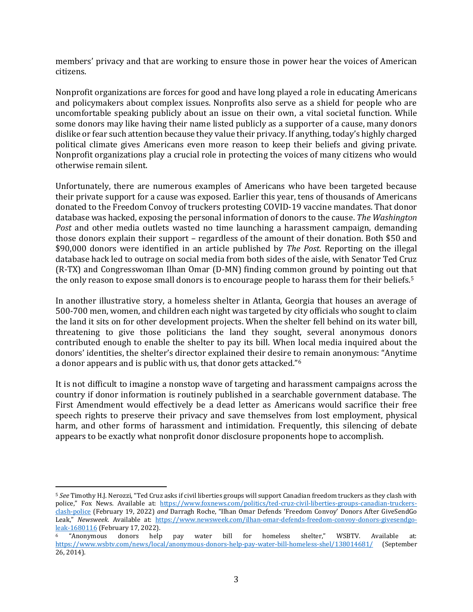members' privacy and that are working to ensure those in power hear the voices of American citizens.

Nonprofit organizations are forces for good and have long played a role in educating Americans and policymakers about complex issues. Nonprofits also serve as a shield for people who are uncomfortable speaking publicly about an issue on their own, a vital societal function. While some donors may like having their name listed publicly as a supporter of a cause, many donors dislike or fear such attention because they value their privacy. If anything, today's highly charged political climate gives Americans even more reason to keep their beliefs and giving private. Nonprofit organizations play a crucial role in protecting the voices of many citizens who would otherwise remain silent.

Unfortunately, there are numerous examples of Americans who have been targeted because their private support for a cause was exposed. Earlier this year, tens of thousands of Americans donated to the Freedom Convoy of truckers protesting COVID-19 vaccine mandates. That donor database was hacked, exposing the personal information of donors to the cause. *The Washington Post* and other media outlets wasted no time launching a harassment campaign, demanding those donors explain their support – regardless of the amount of their donation. Both \$50 and \$90,000 donors were identified in an article published by *The Post*. Reporting on the illegal database hack led to outrage on social media from both sides of the aisle, with Senator Ted Cruz (R-TX) and Congresswoman Ilhan Omar (D-MN) finding common ground by pointing out that the only reason to expose small donors is to encourage people to harass them for their beliefs. 5

In another illustrative story, a homeless shelter in Atlanta, Georgia that houses an average of 500-700 men, women, and children each night was targeted by city officials who sought to claim the land it sits on for other development projects. When the shelter fell behind on its water bill, threatening to give those politicians the land they sought, several anonymous donors contributed enough to enable the shelter to pay its bill. When local media inquired about the donors' identities, the shelter's director explained their desire to remain anonymous: "Anytime a donor appears and is public with us, that donor gets attacked."<sup>6</sup>

It is not difficult to imagine a nonstop wave of targeting and harassment campaigns across the country if donor information is routinely published in a searchable government database. The First Amendment would effectively be a dead letter as Americans would sacrifice their free speech rights to preserve their privacy and save themselves from lost employment, physical harm, and other forms of harassment and intimidation. Frequently, this silencing of debate appears to be exactly what nonprofit donor disclosure proponents hope to accomplish.

<sup>5</sup> *See* Timothy H.J. Nerozzi, "Ted Cruz asks if civil liberties groups will support Canadian freedom truckers as they clash with police," Fox News. Available at: [https://www.foxnews.com/politics/ted-cruz-civil-liberties-groups-canadian-truckers](https://www.foxnews.com/politics/ted-cruz-civil-liberties-groups-canadian-truckers-clash-police)[clash-police](https://www.foxnews.com/politics/ted-cruz-civil-liberties-groups-canadian-truckers-clash-police) (February 19, 2022) *and* Darragh Roche, "Ilhan Omar Defends 'Freedom Convoy' Donors After GiveSendGo Leak," *Newsweek*. Available at: [https://www.newsweek.com/ilhan-omar-defends-freedom-convoy-donors-givesendgo](https://www.newsweek.com/ilhan-omar-defends-freedom-convoy-donors-givesendgo-leak-1680116)[leak-1680116](https://www.newsweek.com/ilhan-omar-defends-freedom-convoy-donors-givesendgo-leak-1680116) (February 17, 2022).

<sup>6</sup> "Anonymous donors help pay water bill for homeless shelter," WSBTV. Available at: <https://www.wsbtv.com/news/local/anonymous-donors-help-pay-water-bill-homeless-shel/138014681/> (September 26, 2014).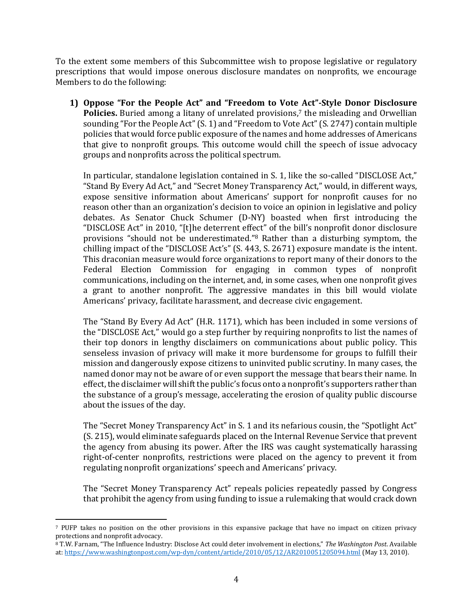To the extent some members of this Subcommittee wish to propose legislative or regulatory prescriptions that would impose onerous disclosure mandates on nonprofits, we encourage Members to do the following:

**1) Oppose "For the People Act" and "Freedom to Vote Act"-Style Donor Disclosure**  Policies. Buried among a litany of unrelated provisions,<sup>7</sup> the misleading and Orwellian sounding "For the People Act" (S. 1) and "Freedom to Vote Act" (S. 2747) contain multiple policies that would force public exposure of the names and home addresses of Americans that give to nonprofit groups. This outcome would chill the speech of issue advocacy groups and nonprofits across the political spectrum.

In particular, standalone legislation contained in S. 1, like the so-called "DISCLOSE Act," "Stand By Every Ad Act," and "Secret Money Transparency Act," would, in different ways, expose sensitive information about Americans' support for nonprofit causes for no reason other than an organization's decision to voice an opinion in legislative and policy debates. As Senator Chuck Schumer (D-NY) boasted when first introducing the "DISCLOSE Act" in 2010, "[t]he deterrent effect" of the bill's nonprofit donor disclosure provisions "should not be underestimated." <sup>8</sup> Rather than a disturbing symptom, the chilling impact of the "DISCLOSE Act's" (S. 443, S. 2671) exposure mandate is the intent. This draconian measure would force organizations to report many of their donors to the Federal Election Commission for engaging in common types of nonprofit communications, including on the internet, and, in some cases, when one nonprofit gives a grant to another nonprofit. The aggressive mandates in this bill would violate Americans' privacy, facilitate harassment, and decrease civic engagement.

The "Stand By Every Ad Act" (H.R. 1171), which has been included in some versions of the "DISCLOSE Act," would go a step further by requiring nonprofits to list the names of their top donors in lengthy disclaimers on communications about public policy. This senseless invasion of privacy will make it more burdensome for groups to fulfill their mission and dangerously expose citizens to uninvited public scrutiny. In many cases, the named donor may not be aware of or even support the message that bears their name. In effect, the disclaimer will shift the public's focus onto a nonprofit's supporters rather than the substance of a group's message, accelerating the erosion of quality public discourse about the issues of the day.

The "Secret Money Transparency Act" in S. 1 and its nefarious cousin, the "Spotlight Act" (S. 215), would eliminate safeguards placed on the Internal Revenue Service that prevent the agency from abusing its power. After the IRS was caught systematically harassing right-of-center nonprofits, restrictions were placed on the agency to prevent it from regulating nonprofit organizations' speech and Americans' privacy.

The "Secret Money Transparency Act" repeals policies repeatedly passed by Congress that prohibit the agency from using funding to issue a rulemaking that would crack down

<sup>7</sup> PUFP takes no position on the other provisions in this expansive package that have no impact on citizen privacy protections and nonprofit advocacy.

<sup>8</sup> T.W. Farnam, "The Influence Industry: Disclose Act could deter involvement in elections," *The Washington Post*. Available at:<https://www.washingtonpost.com/wp-dyn/content/article/2010/05/12/AR2010051205094.html> (May 13, 2010).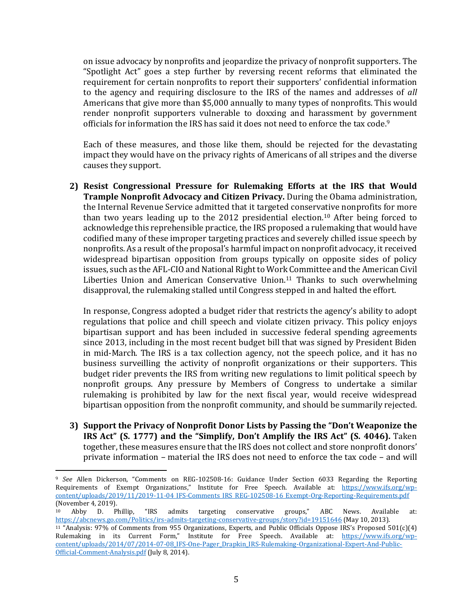on issue advocacy by nonprofits and jeopardize the privacy of nonprofit supporters. The "Spotlight Act" goes a step further by reversing recent reforms that eliminated the requirement for certain nonprofits to report their supporters' confidential information to the agency and requiring disclosure to the IRS of the names and addresses of *all* Americans that give more than \$5,000 annually to many types of nonprofits. This would render nonprofit supporters vulnerable to doxxing and harassment by government officials for information the IRS has said it does not need to enforce the tax code. 9

Each of these measures, and those like them, should be rejected for the devastating impact they would have on the privacy rights of Americans of all stripes and the diverse causes they support.

**2) Resist Congressional Pressure for Rulemaking Efforts at the IRS that Would Trample Nonprofit Advocacy and Citizen Privacy.** During the Obama administration, the Internal Revenue Service admitted that it targeted conservative nonprofits for more than two years leading up to the 2012 presidential election.<sup>10</sup> After being forced to acknowledge this reprehensible practice, the IRS proposed a rulemaking that would have codified many of these improper targeting practices and severely chilled issue speech by nonprofits. As a result of the proposal's harmful impact on nonprofit advocacy, it received widespread bipartisan opposition from groups typically on opposite sides of policy issues, such as the AFL-CIO and National Right to Work Committee and the American Civil Liberties Union and American Conservative Union. <sup>11</sup> Thanks to such overwhelming disapproval, the rulemaking stalled until Congress stepped in and halted the effort.

In response, Congress adopted a budget rider that restricts the agency's ability to adopt regulations that police and chill speech and violate citizen privacy. This policy enjoys bipartisan support and has been included in successive federal spending agreements since 2013, including in the most recent budget bill that was signed by President Biden in mid-March. The IRS is a tax collection agency, not the speech police, and it has no business surveilling the activity of nonprofit organizations or their supporters. This budget rider prevents the IRS from writing new regulations to limit political speech by nonprofit groups. Any pressure by Members of Congress to undertake a similar rulemaking is prohibited by law for the next fiscal year, would receive widespread bipartisan opposition from the nonprofit community, and should be summarily rejected.

**3) Support the Privacy of Nonprofit Donor Lists by Passing the "Don't Weaponize the IRS Act" (S. 1777) and the "Simplify, Don't Amplify the IRS Act" (S. 4046).** Taken together, these measures ensure that the IRS does not collect and store nonprofit donors' private information – material the IRS does not need to enforce the tax code – and will

<sup>9</sup> *See* Allen Dickerson, "Comments on REG-102508-16: Guidance Under Section 6033 Regarding the Reporting Requirements of Exempt Organizations," Institute for Free Speech. Available at: [https://www.ifs.org/wp](https://www.ifs.org/wp-content/uploads/2019/11/2019-11-04_IFS-Comments_IRS_REG-102508-16_Exempt-Org-Reporting-Requirements.pdf)[content/uploads/2019/11/2019-11-04\\_IFS-Comments\\_IRS\\_REG-102508-16\\_Exempt-Org-Reporting-Requirements.pdf](https://www.ifs.org/wp-content/uploads/2019/11/2019-11-04_IFS-Comments_IRS_REG-102508-16_Exempt-Org-Reporting-Requirements.pdf) (November 4, 2019).<br> $\frac{10}{2}$  Abby D

<sup>10</sup> Abby D. Phillip, "IRS admits targeting conservative groups," ABC News. Available at: <https://abcnews.go.com/Politics/irs-admits-targeting-conservative-groups/story?id=19151646> (May 10, 2013).

<sup>11</sup> "Analysis: 97% of Comments from 955 Organizations, Experts, and Public Officials Oppose IRS's Proposed 501(c)(4) Rulemaking in its Current Form," Institute for Free Speech. Available at: [https://www.ifs.org/wp](https://www.ifs.org/wp-content/uploads/2014/07/2014-07-08_IFS-One-Pager_Drapkin_IRS-Rulemaking-Organizational-Expert-And-Public-Official-Comment-Analysis.pdf)[content/uploads/2014/07/2014-07-08\\_IFS-One-Pager\\_Drapkin\\_IRS-Rulemaking-Organizational-Expert-And-Public-](https://www.ifs.org/wp-content/uploads/2014/07/2014-07-08_IFS-One-Pager_Drapkin_IRS-Rulemaking-Organizational-Expert-And-Public-Official-Comment-Analysis.pdf)[Official-Comment-Analysis.pdf](https://www.ifs.org/wp-content/uploads/2014/07/2014-07-08_IFS-One-Pager_Drapkin_IRS-Rulemaking-Organizational-Expert-And-Public-Official-Comment-Analysis.pdf) (July 8, 2014).